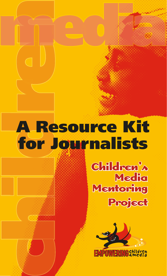# **dlm A Resource Kit for Journalists**

**hi**

**Children's hildren's Media Mentoring entoring Project**

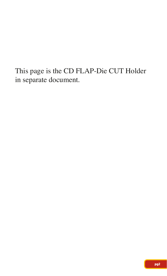This page is the CD FLAP-Die CUT Holder in separate document.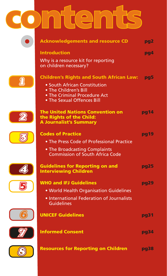# **contents ontents**

| <b>Acknowledgements and resource CD</b>                                                                                                                                | pg <sub>2</sub> |
|------------------------------------------------------------------------------------------------------------------------------------------------------------------------|-----------------|
| <b>Introduction</b><br>Why is a resource kit for reporting<br>on children necessary?                                                                                   | pg4             |
| <b>Children's Rights and South African Law:</b><br>• South African Constitution<br>. The Children's Bill<br>. The Criminal Procedure Act<br>• The Sexual Offences Bill | pg5             |
| <b>The United Nations Convention on</b><br>the Rights of the Child:<br><b>A Journalist's Summary</b>                                                                   | pg14            |
| <b>Codes of Practice</b><br>• The Press Code of Professional Practice<br>• The Broadcasting Complaints<br><b>Commission of South Africa Code</b>                       | pg19            |
| <b>Guidelines for Reporting on and</b><br><b>Interviewing Children</b>                                                                                                 | pg25            |
| <b>WHO and IFJ Guidelines</b><br>. World Health Organisation Guidelines<br>· International Federation of Journalists<br><b>Guidelines</b>                              | pg29            |
| <b>UNICEF Guidelines</b>                                                                                                                                               | pg31            |
| <b>Informed Consent</b>                                                                                                                                                | pg34            |
| <b>Resources for Reporting on Children</b>                                                                                                                             | pg38            |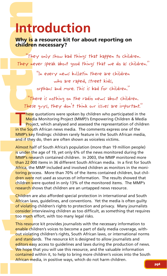#### **Why is a resource kit for about reporting on children necessary?**

"They only show bad things that happen to children. They never speak about good things that we do as children."

> "In every news bulletin there are children who are raped, street kids, orphans and more. This is bad for children."

"There is nothing on the radio news about children. These guys, they don't think our issues are important."

These quotations were spoken by children who participated in the Media Monitoring Project (MMP)'s Empowering Children & Media **Project, which analysed and assessed the representation of children** in the South African news media. The comments express one of the MMP's key findings: children rarely feature in the South African media, and if they do, then are often shown as voiceless victims.

**intervalled and the serve that in the server serves that the server speak about things the they were repeak about good thim the server speak about good thim the server speak about good thim the server speak about good thi** Almost half of South Africa's population (more than 19 million people) is under the age of 19, yet only 6% of the news monitored during the MMP's research contained children. In 2003, the MMP monitored more than 22,000 items in 36 different South African media. In a first for South Africa, the MMP included and involved children as monitors in the monitoring process. More than 70% of the items contained children, but children were not used as sources of information. The results showed that children were quoted in only 13% of the monitored items. The MMP's research shows that children are an untapped news resource.

Children are also afforded special protection in international and South African laws, quidelines, and conventions. Yet the media is often quilty of violating children's rights to protection and privacy. Many journalists consider interviewing children as too difficult, as something that requires too much effort, with too many legal risks.

This resource kit provides journalists with the necessary information to enable children's voices to become a part of daily media coverage, without violating children's rights, South African laws, or international norms and standards. The resource kit is designed to allow journalists and editors easy access to quidelines and laws during the production of news. We hope that you will use this resource, and the valuable information contained within it, to help to bring more children's voices into the South African media, in positive ways, which do not harm children.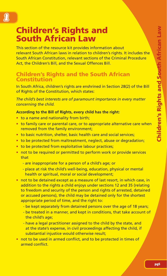# **Children's Rights and South African Law**

1

This section of the resource kit provides information about relevant South African laws in relation to children's rights. It includes the South African Constitution, relevant sections of the Criminal Procedure Act, the Children's Bill, and the Sexual Offences Bill.

### **Children's Rights and the South African Constitution**

In South Africa, children's rights are enshrined in Section 28(2) of the Bill of Rights of the Constitution, which states:

*The child's best interests are of paramount importance in every matter concerning the child.*

#### **According to the Bill of Rights, every child has the right:**

- to a name and nationality from birth;
- to family care or parental care, or to appropriate alternative care when removed from the family environment;
- to basic nutrition, shelter, basic health care and social services;
- to be protected from maltreatment, neglect, abuse or degradation;
- to be protected from exploitative labour practices;
- not to be required or permitted to perform work or provide services that
	- are inappropriate for a person of a child's age; or
	- place at risk the child's well-being, education, physical or mental health or spiritual, moral or social development;
- not to be detained except as a measure of last resort, in which case, in addition to the rights a child enjoys under sections 12 and 35 (relating to freedom and security of the person and rights of arrested, detained or accused persons), the child may be detained only for the shortest appropriate period of time, and the right to:
	- be kept separately from detained persons over the age of 18 years;
	- be treated in a manner, and kept in conditions, that take account of the child's age;
	- have a legal practitioner assigned to the child by the state, and at the state's expense, in civil proceedings affecting the child, if substantial injustice would otherwise result:
- not to be used in armed conflict, and to be protected in times of armed conflict.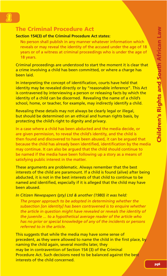# **The Criminal Procedure Act**

#### **Section 154(3) of the Criminal Procedure Act states:**

 No person shall publish in any manner whatever information which reveals or may reveal the identity of the accused under the age of 18 years or of a witness at criminal proceedings who is under the age of 18 years.

Criminal proceedings are understood to start the moment it is clear that a crime involving a child has been committed, or where a charge has been laid.

In interpreting the concept of identification, courts have held that identity may be revealed directly or by "reasonable inference". This Act is contravened by interviewing a person or releasing facts by which the identity of a child can be discerned. Revealing the name of a child's school, home, or teacher, for example, may indirectly identify a child.

Revealing these details may not always be clearly legal or illegal, but should be determined on an ethical and human rights basis, by protecting the child's right to dignity and privacy.

In a case where a child has been abducted and the media decide, or are given permission, to reveal the child's identity, and the child is then found and discovered to have been abused, it can be argued that because the child has already been identified, identification by the media may continue. It can also be argued that the child should continue to be named if the media have been following up a story as a means of satisfying public interest in the matter.

These arguments are problematic. Always remember that the best interests of the child are paramount. If a child is found (alive) after being abducted, it is not in the best interests of that child to continue to be named and identified, especially if it is alleged that the child may have been abused.

*In Citizen Newspapers (pty) Ltd & another (1980) it was held:*

 *The proper approach to be adopted in determining whether the subsection [on identity] has been contravened is to enquire whether the article in question might have revealed or reveals the identity of the juvenile ... to a hypothetical average reader of the article who has no prior or special knowledge of any of the incidents or persons referred to in the article.*

This suggests that while the media may have some sense of precedent, as they were allowed to name the child in the first place, by naming the child again, several months later, they may be in contravention of Section 154 (3) of the Criminal Procedure Act. Such decisions need to be balanced against the best interests of the child concerned.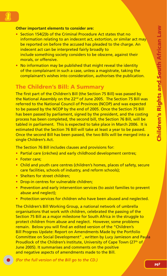# **1**

#### **Other important elements to consider are:**

- Section 154(2)b of the Criminal Procedure Act states that no information relating to an indecent act, extortion, or similar act may be reported on before the accused has pleaded to the charge. An indecent act can be interpreted fairly broadly to include something society considers to be obscene, against their morals, or offensive.
- No information may be published that might reveal the identity of the complainant in such a case, unless a magistrate, taking the complainant's wishes into consideration, authorises the publication.

# **The Children's Bill: A Summary**

The first part of the Children's Bill (the Section 75 Bill) was passed by the National Assembly on the 22<sup>nd</sup> of June 2005. The Section 75 Bill was referred to the National Council of Provinces (NCOP) and was expected to be passed by the NCOP by the end of 2005. Once the Section 75 Bill has been passed by parliament, signed by the president, and the costing process has been completed, the second bill, the Section 76 Bill, will be tabled in parliament. This is expected to take place in March 2006. It is estimated that the Section 76 Bill will take at least a year to be passed. Once the second Bill has been passed, the two Bills will be merged into a single Children's Act.

The Section 76 Bill includes clauses and provisions for:

- Partial care (crèches) and early childhood development centres;
- Foster care;
- Child and youth care centres (children's homes, places of safety, secure care facilities, schools of industry, and reform schools);
- Shelters for street children:
- Drop-in centres for vulnerable children;
- Prevention and early intervention services (to assist families to prevent abuse and neglect);
- Protection services for children who have been abused and neglected.

The Children's Bill Working Group, a national network of umbrella organisations that work with children, celebrated the passing of the Section 75 Bill as a major milestone for South Africa in the struggle to protect children from abuse and neglect. However, some problems remain. Below you will find an edited version of the "Children's Bill Progress Update: Report on Amendments Made by the Portfolio Committee on Social Development" , written by Lucy Jamieson and Paula Proudlock of the Children's Institute, University of Cape Town (27<sup>th</sup> of June 2005). It summarises and comments on the positive and negative aspects of amendments made to the Bill.

*(For the full version of the Bill go to the CD.)*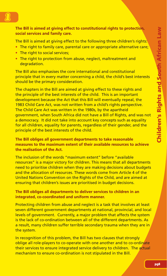#### **The Bill is aimed at giving effect to constitutional rights to protection, social services and family care.**

The Bill is aimed at giving effect to the following three children's rights:

- The right to family care, parental care or appropriate alternative care;
- The right to social services;
- The right to protection from abuse, neglect, maltreatment and degradation.

The Bill also emphasises the core international and constitutional principle that in every matter concerning a child, the child's best interests should be the primary consideration.

The chapters in the Bill are aimed at giving effect to these rights and the principle of the best interests of the child. This is an important development because the Act that this Bill will eventually repeal, the 1983 Child Care Act, was not written from a child's rights perspective. The Child Care Act was written in the 1980s, by the apartheid government, when South Africa did not have a Bill of Rights, and was not a democracy. It did not take into account key concepts such as equality for all children, equality for parents, regardless of their gender, and the principle of the best interests of the child.

**The Bill obliges all government departments to take reasonable measures to the maximum extent of their available resources to achieve the realisation of the Act.** 

The inclusion of the words "maximum extent" before "available resources" is a major victory for children. This means that all departments need to prioritise children when they are making decisions about budgets and the allocation of resources. These words come from Article 4 of the United Nations Convention on the Rights of the Child, and are aimed at ensuring that children's issues are prioritised in budget decisions.

#### **The Bill obliges all departments to deliver services to children in an integrated, co-coordinated and uniform manner.**

Protecting children from abuse and neglect is a task that involves at least seven different government departments at national, provincial, and local levels of government. Currently, a major problem that affects the system is the lack of co-ordination between all of the different departments. As a result, many children suffer terrible secondary trauma when they are in the system.

In recognition of this problem, the Bill has two clauses that strongly oblige all role-players to co-operate with one another and to co-ordinate their services to ensure integrated service delivery to children. The actual mechanism to ensure co-ordination is not stipulated in the Bill.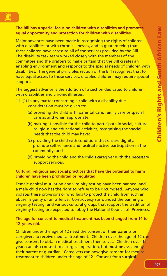# **1**

#### **The Bill has a special focus on children with disabilities and promotes equal opportunity and protection for children with disabilities.**

Major advances have been made in recognising the rights of children with disabilities or with chronic illnesses, and in quaranteeing that these children have access to all of the services provided by the Bill. The disability task team worked closely with the members of the committee and the drafters to make certain that the Bill creates an enabling environment and responds to the special needs of children with disabilities. The general principles section of the Bill recognises that to have equal access to those services, disabled children may require special support.

The biggest advance is the addition of a section dedicated to children with disabilities and chronic illnesses:

#### 11. (1) In any matter concerning a child with a disability due consideration must be given to:

- (a) providing the child with parental care, family care or special care as and when appropriate;
- (b) making it possible for the child to participate in social, cultural, religious and educational activities, recognising the special needs that the child may have;
- (c) providing the child with conditions that ensure dignity, promote self-reliance and facilitate active participation in the community; and
- (d) providing the child and the child's caregiver with the necessary support services.

#### **Cultural, religious and social practices that have the potential to harm children have been prohibited or regulated.**

Female genital mutilation and virginity testing have been banned, and a male child now has the right to refuse to be circumcised. Anyone who violates these provisions or who fails to protect the child from such an abuse, is guilty of an offence. Controversy surrounded the banning of virginity testing, and various cultural groups that support the tradition of virginity testing are expected to lobby the National Council of Provinces.

#### **The age for consent to medical treatment has been changed from 14 to 12–years-old.**

Children under the age of 12 need the consent of their parents or caregivers to receive medical treatment. Children over the age of 12 can give consent to obtain medical treatment themselves. Children over 12 years can also consent to a surgical operation, but must be assisted by their parent or guardian. Caregivers can now give consent for medical treatment to children under the age of 12. Consent for a surgical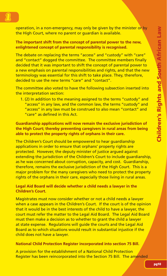operation, in a non-emergency, may only be given by the minister or by the High Court, where no parent or guardian is available.

**The important shift from the concept of parental power to the new, enlightened concept of parental responsibility is recognised.**

The debate on replacing the terms "access" and "custody" with "care" and "contact" dogged the committee. The committee members finally decided that it was important to shift the concept of parental power to a new emphasis on parental responsibilities and rights, and that the new terminology was essential for this shift to take place. They, therefore, decided to use the new terms "care" and "contact".

The committee also voted to have the following subsection inserted into the interpretation section:

 1. (2) In addition to the meaning assigned to the terms "custody" and "access" in any law, and the common law, the terms "custody" and "access" in any law must be construed to also mean "contact" and "care" as defined in this Act.

**Guardianship applications will now remain the exclusive jurisdiction of the High Court; thereby preventing caregivers in rural areas from being able to protect the property rights of orphans in their care.**

The Children's Court should be empowered to hear guardianship applications in order to ensure that orphans' property rights are protected. However, the deputy minister of justice argued against extending the jurisdiction of the Children's Court to include guardianship. as he was concerned about corruption, capacity, and cost. Guardianship, therefore, remains the exclusive jurisdiction of the High Court. This is a major problem for the many caregivers who need to protect the property rights of the orphans in their care, especially those living in rural areas.

#### **Legal Aid Board will decide whether a child needs a lawyer in the Children's Court.**

Magistrates must now consider whether or not a child needs a lawyer when a case appears in the Children's Court. If the court is of the opinion that it would be in the best interests of the child to have a lawyer, the court must refer the matter to the Legal Aid Board. The Legal Aid Board must then make a decision as to whether to grant the child a lawyer at state expense. Regulations will guide the courts and the Legal Aid Board as to which situations would result in substantial injustice if the child does not have a lawyer.

#### **National Child Protection Register incorporated into section 75 Bill.**

A provision for the establishment of a National Child Protection Register has been reincorporated into the Section 75 Bill. The amended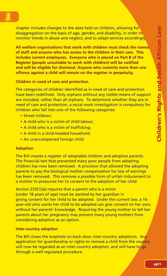**1** 

chapter includes changes to the data held on children, allowing for disaggregation on the basis of age, gender, and disability, in order to monitor trends in abuse and neglect, and to adapt services accordingly.

**All welfare organisations that work with children must check the names of staff and anyone who has access to the children in their care. This includes current employees. Everyone who is placed on Part B of the Register (people unsuitable to work with children) will be notified and will be eligible for dismissal. Anyone who commits more than one offence against a child will remain on the register in perpetuity.**

**Children in need of care and protection.**

The categories of children identified as in need of care and protection have been redefined. Only orphans without any visible means of support are included, rather than all orphans. To determine whether they are in need of care and protection, a social work investigation is compulsory for children who fall into one of the following categories:

- Street children:
- A child who is a victim of child labour:
- A child who is a victim of trafficking:
- A child in a child-headed household;
- An unaccompanied foreign child.

#### **Adoption**

The Bill creates a register of adoptable children and adoptive parents. The financial test that prevented many poor people from adopting children has now been removed. A provision that allowed the adopting parents to pay the biological mother compensation for loss of earnings has been removed. This removes a possible form of unfair inducement to a mother to pressurise her to consent to the adoption of her child.

Section 233(1)(a) requires that a parent who is a minor (under 18 years of age) must be assisted by her guardian in giving consent for her child to be adopted. Under the current law, a 16 year-old who wants her child to be adopted can give consent on her own, without her parents' knowledge. Requiring the young mother to tell her parents about her pregnancy may prevent many young mothers from considering adoption as an option.

#### **Inter-country adoption**

The Bill closes the loophole on back-door, inter-country adoptions. Any application for guardianship or rights to remove a child from the country will now be regarded as an inter-country adoption, and will have to go through a well-regulated procedure.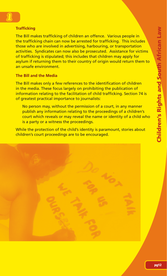#### **Trafficking**

**1** 

The Bill makes trafficking of children an offence. Various people in the trafficking chain can now be arrested for trafficking. This includes those who are involved in advertising, harbouring, or transportation activities. Syndicates can now also be prosecuted. Assistance for victims of trafficking is stipulated; this includes that children may apply for asylum if returning them to their country of origin would return them to an unsafe environment.

#### **The Bill and the Media**

The Bill makes only a few references to the identification of children in the media. These focus largely on prohibiting the publication of information relating to the facilitation of child trafficking. Section 74 is of greatest practical importance to journalists:

No person may, without the permission of a court, in any manner publish any information relating to the proceedings of a children's court which reveals or may reveal the name or identity of a child who is a party or a witness the proceedings.

While the protection of the child's identity is paramount, stories about children's court proceedings are to be encouraged.

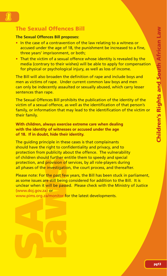# **1**

# **The Sexual Offences Bill**

#### **The Sexual Offences Bill proposes:**

- In the case of a contravention of the law relating to a witness or accused under the age of 18, the punishment be increased to a fine, three years' imprisonment, or both;
- That the victim of a sexual offence whose identity is revealed by the media (contrary to their wishes) will be able to apply for compensation for physical or psychological injury, as well as loss of income.

The Bill will also broaden the definition of rape and include boys and men as victims of rape. Under current common law boys and men can only be indecently assaulted or sexually abused, which carry lesser sentences than rape.

The Sexual Offences Bill prohibits the publication of the identity of the victim of a sexual offence, as well as the identification of that person's family, or information that may lead to the identification of the victim or their family.

**With children, always exercise extreme care when dealing with the identity of witnesses or accused under the age of 18. If in doubt, hide their identity.**

The guiding principle in these cases is that complainants should have the right to confidentiality and privacy, and to protection from publicity about the offence. The vulnerability of children should further entitle them to speedy and special protection, and provision of services, by all role-players during all phases of the investigation, the court process, and thereafter.

**SCONDING TO EXECUTE SEXUAL SEXUAL SEXUAL SEXUAL SEXUAL SEXUAL SEXUAL SEXUAL SEXUAL SEXUAL SEXUAL SEXUAL SEXUAL SEXUAL SEXUAL SEXUAL SEXUAL SEXUAL SEXUAL SEXUAL SEXUAL SEXUAL SEXUAL SEXUAL SEXUAL SEXUAL SEXUAL SEXUAL SEXUA** Please note: For the past few years, the Bill has been stuck in parliament, as some issues are still being considered for addition to the Bill. It is unclear when it will be passed. Please check with the Ministry of Justice (www.doj.gov.za) or

www.pims.org.za/monitor for the latest developments.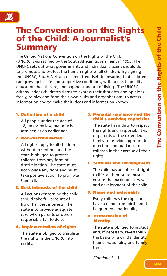

# **The Convention on the Rights of the Child: A Journalist's Summary**

The United Nations Convention on the Rights of the Child (UNCRC) was ratified by the South African government in 1995. The UNCRC sets out what governments and individual citizens should do to promote and protect the human rights of all children. By signing the UNCRC, South Africa has committed itself to ensuring that children can grow up in safe and supportive conditions, with access to quality education, health care, and a good standard of living. The UNCRC acknowledges children's rights to express their thoughts and opinions freely, to play and form their own clubs and organisations, to access information and to make their ideas and information known.

#### **1. Definition of a child**

 All people under the age of 18, unless by law, majority is attained at an earlier age.

#### **2. Non-discrimination**

 All rights apply to all children without exception, and the state is obliged to protect children from any form of discrimination. The state must not violate any right and must take positive action to promote them all.

#### **3. Best interests of the child**

 All actions concerning the child should take full account of his or her best interests. The state is to provide adequate care when parents or others responsible fail to do so.

#### **4. Implementation of rights**

 The state is obliged to translate the rights in the UNCRC into reality.

#### **5. Parental guidance and the child's evolving capacities**

 The state has a duty to respect the rights and responsibilities of parents or the extended family to provide appropriate direction and guidance to children in the exercise of their rights.

#### **6. Survival and development**

 The child has an inherent right to life, and the state must ensure the maximum survival and development of the child.

#### **7. Name and nationality**

 Every child has the right to have a name from birth and to be granted a nationality.

#### **8. Preservation of identity**

 The state is obliged to protect and, if necessary, re-establish the basics of a child's identity (name, nationality and family ties).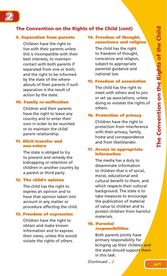

#### **9. Separation from parents**

 Children have the right to live with their parents unless this is incompatible with their best interests; to maintain contact with both parents if separated from one or both; and the right to be informed by the state of the whereabouts of their parents if such separation is the result of action by the state.

#### **10. Family re-unification**

 Children and their parents have the right to leave any country and to enter their own in order to be reunited or to maintain the child/ parent relationship.

#### **11. Illicit transfer and non-return**

 The state is obliged to try to prevent and remedy the kidnapping or retention of children in another country by a parent or third party.

#### **12. The child's opinion**

 The child has the right to express an opinion and to have that opinion taken into account in any matter or procedure affecting the child.

#### **13. Freedom of expression**

 Children have the right to obtain and make known information and to express their views, unless this would violate the rights of others.

#### **14. Freedom of thought, conscience and religion**

 The child has the right to freedom of thought, conscience and religion, subject to appropriate parental guidance and national law.

#### **15. Freedom of association**

 The child has the right to meet with others and to join or set up associations, unless doing so violates the rights of others.

#### **16. Protection of privacy**

 Children have the right to protection from interference with their privacy, family, home and correspondence and from libel/slander.

#### **17. Access to appropriate information**

 The media has a duty to disseminate information to children that is of social, moral, educational and cultural benefit to them, and which respects their cultural background. The state is to take measures to encourage the publication of material of value to children and to protect children from harmful materials.

#### **18. Parental responsibilities**

 Both parents jointly have primary responsibility for bringing up their children and the state should support them in this task.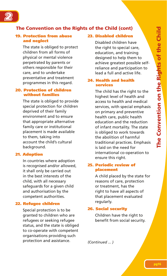

#### **19. Protection from abuse and neglect**

 The state is obliged to protect children from all forms of physical or mental violence perpetrated by parents or others responsible for their care, and to undertake preventative and treatment programmes in this regard.

#### **20. Protection of children without families**

 The state is obliged to provide special protection for children deprived of their family environment and to ensure that appropriate alternative family care or institutional placement is made available to them, taking into account the child's cultural background.

#### **21. Adoption**

 In countries where adoption is recognised and/or allowed, it shall only be carried out in the best interests of the child, with all necessary safeguards for a given child and authorisation by the competent authorities.

#### **22. Refugee children**

 Special protection is to be granted to children who are refugees or seeking refugee status, and the state is obliged to co-operate with competent organisations providing such protection and assistance.

#### **23. Disabled children**

 Disabled children have the right to special care, education, and training designed to help them to achieve greatest possible selfreliance and participation to lead a full and active life.

#### **24. Health and health services**

 The child has the right to the highest level of health and access to health and medical services, with special emphasis on primary and preventive health care, public health education and the reduction of infant mortality. The state is obliged to work towards the abolition of harmful traditional practices. Emphasis is laid on the need for international co-operation to ensure this right.

#### **25. Periodic review of placement**

 A child placed by the state for reasons of care, protection or treatment, has the right to have all aspects of that placement evaluated regularly.

#### **26. Social security**

 Children have the right to benefit from social security.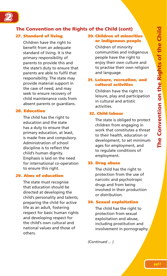

#### **27. Standard of living**

 Children have the right to benefit from an adequate standard of living. It is the primary responsibility of parents to provide this and the state's duty to ensure that parents are able to fulfil that responsibility. The state may provide material support in the case of need, and may seek to ensure recovery of child maintenance costs from absent parents or quardians.

#### **28. Education**

 The child has the right to education and the state has a duty to ensure that primary education, at least, is made free and compulsory. Administration of school discipline is to reflect the child's human dignity. Emphasis is laid on the need for international co-operation to ensure this right.

#### **29. Aims of education**

 The state must recognise that education should be directed at developing the child's personality and talents, preparing the child for active life as an adult, fostering respect for basic human rights and developing respect for the child's own cultural and national values and those of others.

#### **30. Children of minorities or indigenous people**

 Children of minority communities and indigenous people have the right to enjoy their own culture and to practise their own religion and language.

#### **31. Leisure, recreation, and cultural activities**

 Children have the right to leisure, play and participation in cultural and artistic activities.

#### **32. Child labour**

 The state is obliged to protect children from engaging in work that constitutes a threat to their health, education or development, to set minimum ages for employment, and to regulate conditions of employment.

#### **33. Drug abuse**

 The child has the right to protection from the use of narcotic and psychotropic drugs and from being involved in their production or distribution.

#### **34. Sexual exploitation**

 The child has the right to protection from sexual exploitation and abuse, including prostitution and involvement in pornography.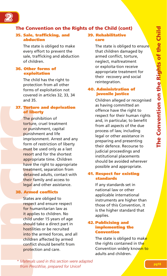

#### **35. Sale, trafficking, and abduction**

 The state is obliged to make every effort to prevent the sale, trafficking and abduction of children.

#### **36. Other forms of exploitation**

 The child has the right to protection from all other forms of exploitation not covered in articles 32, 33, 34 and 35.

#### **37. Torture and deprivation of liberty**

**uncercy**<br> **uncercy**<br> **uncercy**<br> **uncercy**<br> **uncercy**<br> **uncercy**<br> **uncercy**<br> **uncercy**<br> **uncercy**<br> **uncercy**<br> **uncercy**<br> **uncercy**<br> **uncercy**<br> **uncercy**<br> **uncercy**<br> **uncercy**<br> **uncercy**<br> **uncercy**<br> **uncercy**<br> **u**<br> **u**<br> **u**  The prohibition of torture, cruel treatment or punishment, capital punishment and life imprisonment. Arrest and any form of restriction of liberty must be used only as a last resort and for the shortest appropriate time. Children have the right to appropriate treatment, separation from detained adults, contact with their family and access to legal and other assistance.

#### **38. Armed conflicts**

 States are obliged to respect and ensure respect for humanitarian law as it applies to children. No child under 15 years of age should take a direct part in hostilities or be recruited into the armed forces, and all children affected by armed conflict should benefit from protection and care.

#### **39. Rehabilitative care**

The state is obliged to ensure that children damaged by armed conflict, torture, neglect, maltreatment or exploita-tion receive appropriate treatment for their recovery and social reintegration.

#### **40. Administration of juvenile justice**

 Children alleged or recognised as having committed an offence have the right to respect for their human rights and, in particular, to benefit from all aspects of the due process of law, including legal or other assistance in preparing and presenting their defence. Recourse to judicial proceedings and institutional placements should be avoided wherever possible and appropriate.

#### **41. Respect for existing standards**

 If any standards set in national law or other applicable international instruments are higher than those of this Convention, it is the higher standard that applies.

#### **42. Publicising and implementing the Convention**

The state is obliged to make the rights contained in the Convention widely known to adults and children.

*\* Materials used in this section were adapted from PressWise, prepared for Unicef*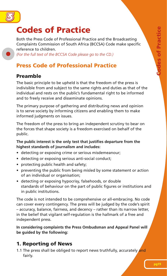

# **Codes of Practice**

Both the Press Code of Professional Practice and the Broadcasting Complaints Commission of South Africa (BCCSA) Code make specific reference to children.

*(For the full text of the BCCSA Code please go to the CD.)*

# **Press Code of Professional Practice**

# **Preamble**

The basic principle to be upheld is that the freedom of the press is indivisible from and subject to the same rights and duties as that of the individual and rests on the public's fundamental right to be informed and to freely receive and disseminate opinions.

The primary purpose of gathering and distributing news and opinion is to serve society by informing citizens and enabling them to make informed judgments on issues.

The freedom of the press to bring an independent scrutiny to bear on the forces that shape society is a freedom exercised on behalf of the public.

#### The public interest is the only test that justifies departure from the **highest standards of journalism and includes:**

- detecting or exposing crime or serious misdemeanour;
- detecting or exposing serious anti-social conduct;
- protecting public health and safety;
- preventing the public from being misled by some statement or action of an individual or organisation;
- detecting or exposing hypocrisy, falsehoods, or double standards of behaviour on the part of public figures or institutions and in public institutions.

The code is not intended to be comprehensive or all-embracing. No code can cover every contingency. The press will be judged by the code's spirit – accuracy, balance, fairness, and decency – rather than its narrow letter, in the belief that vigilant self-regulation is the hallmark of a free and independent press.

**In considering complaints the Press Ombudsman and Appeal Panel will be guided by the following:** 

# **1. Reporting of News**

1.1 The press shall be obliged to report news truthfully, accurately and fairly.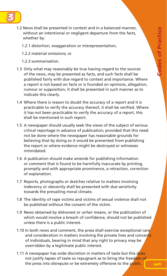

- 1.2 News shall be presented in context and in a balanced manner, without an intentional or negligent departure from the facts. whether by:
	- 1.2.1 distortion, exaggeration or misrepresentation;
	- 1.2.2 material omissions; or
	- 1.2.3 summarisation.
- 1.3 Only what may reasonably be true having regard to the sources of the news, may be presented as facts, and such facts shall be published fairly with due regard to context and importance. Where a report is not based on facts or is founded on opinions, allegation, rumour or supposition, it shall be presented in such manner as to indicate this clearly.
- 1.4 Where there is reason to doubt the accuracy of a report and it is practicable to verify the accuracy thereof, it shall be verified. Where it has not been practicable to verify the accuracy of a report, this shall be mentioned in such report.
- 1.5 A newspaper should usually seek the views of the subject of serious critical reportage in advance of publication; provided that this need not be done where the newspaper has reasonable grounds for believing that by doing so it would be prevented from publishing the report or where evidence might be destroyed or witnesses intimidated.
- 1.6 A publication should make amends for publishing information or comment that is found to be harmfully inaccurate by printing, promptly and with appropriate prominence, a retraction, correction of explanation.
- 1.7 Reports, photographs or sketches relative to matters involving indecency or obscenity shall be presented with due sensitivity towards the prevailing moral climate.
- 1.8 The identity of rape victims and victims of sexual violence shall not be published without the consent of the victim.
- 1.9 News obtained by dishonest or unfair means, or the publication of which would involve a breach of confidence, should not be published unless there is a public interest.
- 1.10 In both news and comment, the press shall exercise exceptional care and consideration in matters involving the private lives and concerns of individuals, bearing in mind that any right to privacy may be overridden by a legitimate public interest.
- 1.11 A newspaper has wide discretion in matters of taste but this does not justify lapses of taste so repugnant as to bring the freedom of the press into disrepute or be extremely offensive to the public. **pg20**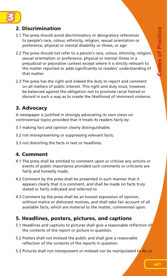

# **2. Discrimination**

- 2.1 The press should avoid discriminatory or denigratory references to people's race, colour, ethnicity, religion, sexual orientation or preference, physical or mental disability or illness, or age.
- 2.2 The press should not refer to a person's race, colour, ethnicity, religion, sexual orientation or preference, physical or mental illness in a prejudicial or pejorative context except where it is strictly relevant to the matter reported or adds significantly to readers' understanding of that matter.
- 2.3 The press has the right and indeed the duty to report and comment on all matters of public interest. This right and duty must, however, be balanced against the obligation not to promote racial hatred or discord in such a way as to create the likelihood of imminent violence.

# **3. Advocacy**

A newspaper is justified in strongly advocating its own views on controversial topics provided that it treats its readers fairly by:

- 3.1 making fact and opinion clearly distinguishable;
- 3.2 not misrepresenting or suppressing relevant facts;
- 3.3 not distorting the facts in text or headlines.

# **4. Comment**

- 4.1 The press shall be entitled to comment upon or criticise any actions or events of public importance provided such comments or criticisms are fairly and honestly made.
- 4.2 Comment by the press shall be presented in such manner that it appears clearly that it is comment, and shall be made on facts truly stated or fairly indicated and referred to.
- 4.3 Comment by the press shall be an honest expression of opinion, without malice or dishonest motives, and shall take fair account of all available facts, which are material to the matter, commented upon.

# **5. Headlines, posters, pictures, and captions**

- 5.1 Headlines and captions to pictures shall give a reasonable reflection of the contents of the report or picture in question.
- 5.2 Posters shall not mislead the public and shall give a reasonable reflection of the contents of the reports in question.
- 5.3 Pictures shall not misrepresent or mislead nor be manipulated to do so.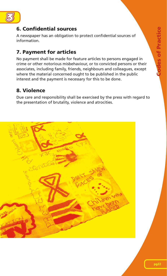



# **6. Confi dential sources**

A newspaper has an obligation to protect confidential sources of information.

# **7. Payment for articles**

No payment shall be made for feature articles to persons engaged in crime or other notorious misbehaviour, or to convicted persons or their associates, including family, friends, neighbours and colleagues, except where the material concerned ought to be published in the public interest and the payment is necessary for this to be done.

# **8. Violence**

Due care and responsibility shall be exercised by the press with regard to the presentation of brutality, violence and atrocities.

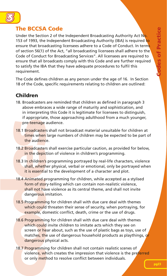

# **The BCCSA Code**

Under the Section 2 of the Independent Broadcasting Authority Act No. 153 of 1993, the Independent Broadcasting Authority (IBA) is required to ensure that broadcasting licensees adhere to a Code of Conduct. In terms of section 56(1) of the Act, "all broadcasting licensees shall adhere to the Code of Conduct for Broadcasting Services". All licensees are required to ensure that all broadcasts comply with this Code and are further required to satisfy the IBA that they have adequate procedures to fulfil this requirement.

The Code defines children as any person under the age of 16. In Section 18 of the Code, specific requirements relating to children are outlined:

# **Children**

- 18. Broadcasters are reminded that children as defined in paragraph 3 above embraces a wide range of maturity and sophistication, and in interpreting this Code it is legitimate for licensees to distinguish, if appropriate, those approaching adulthood from a much younger, pre-teenage audience.
- 18.1 Broadcasters shall not broadcast material unsuitable for children at times when large numbers of children may be expected to be part of the audience.
- 18.2 Broadcasters shall exercise particular caution, as provided for below, in the depiction of violence in children's programming.
- 18.3 In children's programming portrayed by real-life characters, violence shall, whether physical, verbal or emotional, only be portrayed when it is essential to the development of a character and plot.
- 18.4 Animated programming for children, while accepted as a stylised form of story-telling which can contain non-realistic violence, shall not have violence as its central theme, and shall not invite dangerous imitation.
- 18.5 Programming for children shall with due care deal with themes which could threaten their sense of security, when portraying, for example, domestic conflict, death, crime or the use of drugs.
- pre-teenage<br>
18.1 Broadcaster<br>
times when<br>
the audienc<br>
18.2 Broadcaster<br>
in the depic<br>
18.3 In children's<br>
shall, wheth<br>
it is essentia<br>
18.4 Animated p<br>
form of stor<br>
shall not ha<br>
dangerous i<br>
18.5 Programmir<br>
which cou 18.6 Programming for children shall with due care deal with themes which could invite children to imitate acts which they see on screen or hear about, such as the use of plastic bags as toys, use of matches, the use of dangerous household products as playthings, or dangerous physical acts.
	- 18.7 Programming for children shall not contain realistic scenes of violence, which creates the impression that violence is the preferred or only method to resolve conflict between individuals.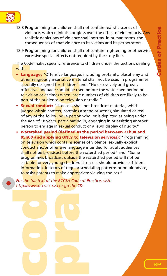

- 18.8 Programming for children shall not contain realistic scenes of violence, which minimise or gloss over the effect of violent acts. Any realistic depictions of violence shall portray, in human terms, the consequences of that violence to its victims and its perpetrators.
- 18.9 Programming for children shall not contain frightening or otherwise excessive special effects not required by the story line.

The Code makes specific reference to children under the sections dealing with:

- **Language:** "Offensive language, including profanity, blasphemy and other religiously insensitive material shall not be used in programmes specially designed for children" and: "No excessively and grossly offensive language should be used before the watershed period on television or at times when large numbers of children are likely to be part of the audience on television or radio."
- **Sexual conduct:** "Licensees shall not broadcast material, which judged within context, contains a scene or scenes, simulated or real of any of the following: a person who, or is depicted as being under the age of 18 years, participating in, engaging in or assisting another person to engage in **sexual conduct or a lewd display of nudity.**"
- 18.9 Programming for children shall not excessive special effects not require<br>The Code makes specific reference to chimical<br>with:<br>**code makes specific reference to chimical**<br>offensive language, incorporation of children<sup>or</sup> **• Watershed period (defined as the period between 21h00 and 05h00 and applying ONLY to television services):** "Programming on television which contains scenes of violence, sexually explicit conduct and/or offensive language intended for adult audiences shall not be broadcast before the watershed period" and: "Some programmes broadcast outside the watershed period will not be suitable for very young children. Licensees should provide sufficient information, in terms of regular scheduling patterns or on-air advice, to assist parents to make appropriate viewing choices."

*For the full text of the BCCSA Code of Practice, visit: http://www.bccsa.co.za or go the CD.*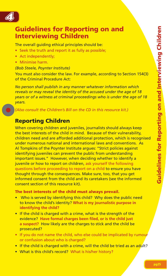

# **Guidelines for Reporting on and Interviewing Children**

The overall guiding ethical principles should be:

- Seek the truth and report it as fully as possible:
- Act independently;
- Minimise harm.

#### *(Bob Steele, Poynter Institute)*

You must also consider the law. For example, according to Section 154(3) of the Criminal Procedure Act:

*No person shall publish in any manner whatever information which reveals or may reveal the identity of the accused under the age of 18 years or of a witness at criminal proceedings who is under the age of 18 years.*

*(Also consult the Children's Bill on the CD in this resource kit.)*

# **Reporting Children**

When covering children and juveniles, journalists should always keep the best interests of the child in mind. Because of their vulnerability, children need and are afforded additional protection, which is recognised under numerous national and international laws and conventions. As Al Tompkins of the Poynter Institute argues: "Strict policies against identifying juveniles can prevent the public from understanding important issues." However, when deciding whether to identify a juvenile or how to report on children, ask yourself the following questions before proceeding to report on a child to ensure you have thought through the consequences. Make sure, too, that you get informed consent from the child and its caretakers (see the informed consent section of this resource kit).

#### **The best interests of the child must always prevail.**

- Who is served by identifying this child? Why does the public need to know the child's identity? **What is my journalistic purpose in identifying the child?**
- If the child is charged with a crime, what is the strength of the evidence? **Have formal charges been fi led, or is the child just a suspect?** How likely are the charges to stick and the child be prosecuted?
- If you do not name the child, who else could be implicated by rumour or confusion about who is charged?
- If the child is charged with a crime, will the child be tried as an adult?
- What is this child's record? What is his/her history?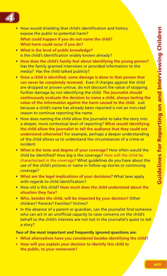

- How would shielding that child's identification and history expose the public to potential harm?  **What could happen if you do not name the child? What harm could occur if you do?**
- **What is the level of public knowledge?**  Is the child's identification widely known already?
- **How does the child's family feel about identifying the young person?** Has the family granted interviews or provided information to the media? Has the child talked publicly?
- Once a child is identified, some damage is done to that person that **can never be completely reversed.** Even if charges against the child are dropped or proven untrue, do not discount the value of stopping further damage by not identifying the child. **The journalist should continuously evaluate the decision to name a child, always testing the value of the information against the harm caused to the child.** Just because a child's name has already been reported is not an iron-clad reason to continue reporting the name.
- How does naming the child allow the journalist to take the story into a deeper, more contextual level of reporting? **What would identifying the child allow the journalist to tell the audience that they could not understand otherwise?** For example, perhaps a deeper understanding of the child allows us to understand the circumstances of a crime or incident.
- **What is the tone and degree of your coverage?** How often would the child be identified? How big is the coverage? How will the child be characterised in the coverage? What guidelines do you have about the use of the child's pictures or name in follow-up stories or continuing coverage?
- **What are the legal implications of your decisions?** What laws apply with regards to child identification?
- How old is this child? **How much does the child understand about the situation they face?**
- **Who, besides the child, will be impacted by your decision?** Other children? Parents? Families? Victims?
- In the absence of a parent or quardian, can the journalist find someone who can act in an unofficial capacity to raise concerns on the child's behalf so the child's interests are not lost in the journalist's quest to tell a story?

#### **Two of the most important and frequently ignored questions are:**

- **What alternatives have you considered besides identifying the child?**
- **How will you explain your decision to identify this child to the public, to your newsroom?**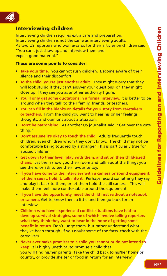

#### **Interviewing children**

Interviewing children requires extra care and preparation. Interviewing children is not the same as interviewing adults. As two US reporters who won awards for their articles on children said: "You can't just show up and interview them and expect good material."

#### **These are some points to consider:**

- **Take your time.** You cannot rush children. Become aware of their silence and their discomfort.
- **To the child, you're just another adult.** They might worry that they will look stupid if they can't answer your questions, or, they might close up if they see you as another authority figure.
- • **You'll only get some quotations in a formal interview.** It is better to be around when they talk to their family, friends, or teachers.
- **You can fill in the blanks on details for your story from caretakers or teachers.** From the child you want to hear his or her feelings, thoughts, and opinions about a situation.
- **Don't be patronising.** As another US journalist said: "Get over the cute thing."
- **Don't assume it's okay to touch the child.** Adults frequently touch children, even children whom they don't know. The child may not be comfortable being touched by a stranger. This is particularly true for abused children.
- **Get down to their level, play with them, and sit on their child-sized chairs.** Let them show you their room and talk about the things you see there, or ask to see their favourite toy.
- **If you have come to the interview with a camera or sound equipment, let them see it, hold it, talk into it.** Perhaps record something they say and play it back to them, or let them hold the still camera. This will make them feel more comfortable around the equipment.
- **If you have the opportunity, meet the child first without a notebook or camera.** Get to know them a little and then go back for an interview.
- **Children who have experienced conflict situations have had to develop survival strategies, some of which involve telling reporters what they think they want to hear in the hope of getting some benefit in return.** Don't judge them, but rather understand what they've been through. If you doubt some of the facts, check with the caregivers.
- **Never ever make promises to a child you cannot or do not intend to keep.** It is highly unethical to promise a child that you will find his/her parents, take the child back to his/her home or country, or provide shelter or food in return for an interview.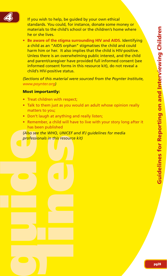

If you wish to help, be guided by your own ethical standards. You could, for instance, donate some money or materials to the child's school or the children's home where he or she lives.

**• Be aware of the stigma surrounding HIV and AIDS.** Identifying a child as an "AIDS orphan" stigmatises the child and could harm him or her. It also implies that the child is HIV-positive. Unless there is an overwhelming public interest, and the child and parent/caregiver have provided full informed consent (see informed consent forms in this resource kit), do not reveal a child's HIV-positive status.

*(Sections of this material were sourced from the Poynter Institute, www.poynter.org)*

#### **Most importantly:**

- Treat children with respect;
- Talk to them just as you would an adult whose opinion really matters to you;
- Don't laugh at anything and really listen;
- Remember, a child will have to live with your story long after it has been published

**guide lines** *(Also see the WHO, UNICEF and IFJ guidelines for media professionals in this resource kit)*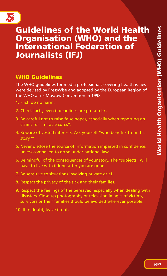

# **Guidelines of the World Health Organisation (WHO) and the International Federation of Journalists (IFJ)**

# **WHO Guidelines**

The WHO guidelines for media professionals covering health issues were devised by PressWise and adopted by the European Region of the WHO at its Moscow Convention in 1998

- 1. First, do no harm.
- 2. Check facts, even if deadlines are put at risk.
- 3. Be careful not to raise false hopes, especially when reporting on claims for "miracle cures".
- 4. Beware of vested interests. Ask yourself "who benefits from this story?"
- 5. Never disclose the source of information imparted in confidence, unless compelled to do so under national law.
- 6. Be mindful of the consequences of your story. The "subjects" will have to live with it long after you are gone.
- 7. Be sensitive to situations involving private grief.
- 8. Respect the privacy of the sick and their families.
- 9. Respect the feelings of the bereaved, especially when dealing with disasters. Close-up photography or television images of victims, survivors or their families should be avoided wherever possible.
- 10. If in doubt, leave it out.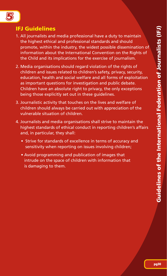

# **IFJ Guidelines**

- 1. All journalists and media professional have a duty to maintain the highest ethical and professional standards and should promote, within the industry, the widest possible dissemination of information about the International Convention on the Rights of the Child and its implications for the exercise of journalism.
- 2. Media organisations should regard violation of the rights of children and issues related to children's safety, privacy, security, education, health and social welfare and all forms of exploitation as important questions for investigation and public debate. Children have an absolute right to privacy, the only exceptions being those explicitly set out in these guidelines.
- 3. Journalistic activity that touches on the lives and welfare of children should always be carried out with appreciation of the vulnerable situation of children.
- 4. Journalists and media organisations shall strive to maintain the highest standards of ethical conduct in reporting children's affairs and, in particular, they shall:
	- Strive for standards of excellence in terms of accuracy and sensitivity when reporting on issues involving children;
	- Avoid programming and publication of images that intrude on the space of children with information that is damaging to them.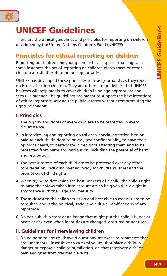

# **UNICEF Guidelines**

These are the ethical quidelines and principles for reporting on children developed by the United Nations Children's Fund (UNICEF)

# **Principles for ethical reporting on children**

Reporting on children and young people has its special challenges. In some instances the act of reporting on children places them or other children at risk of retribution or stigmatisation.

UNICEF has developed these principles to assist journalists as they report on issues affecting children. They are offered as guidelines that UNICEF believes will help media to cover children in an age-appropriate and sensitive manner. The guidelines are meant to support the best intentions of ethical reporters: serving the public interest without compromising the rights of children.

## **I. Principles**

The dignity and rights of every child are to be respected in every circumstance.

- 2. In interviewing and reporting on children, special attention is to be paid to each child's right to privacy and confidentiality, to have their opinions heard, to participate in decisions affecting them and to be protected from harm and retribution, including the potential of harm and retribution.
- 3. The best interests of each child are to be protected over any other consideration, including over advocacy for children's issues and the promotion of child rights.
- 4. When trying to determine the best interests of a child, the child's right to have their views taken into account are to be given due weight in accordance with their age and maturity.
- 5. Those closest to the child's situation and best able to assess it are to be consulted about the political, social and cultural ramifications of any reportage.
- 6. Do not publish a story or an image that might put the child, siblings or peers at risk even when identities are changed, obscured or not used.

# **II. Guidelines for interviewing children**

1. Do no harm to any child: avoid questions, attitudes or comments that are judgmental, insensitive to cultural values, that place a child in danger or expose a child to humiliation, or that reactivate a child's pain and grief from traumatic events.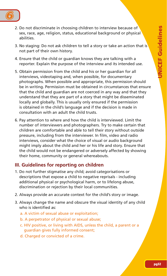

- 2. Do not discriminate in choosing children to interview because of sex, race, age, religion, status, educational background or physical abilities.
- 3. No staging: Do not ask children to tell a story or take an action that is not part of their own history.
- 4. Ensure that the child or guardian knows they are talking with a reporter. Explain the purpose of the interview and its intended use.
- 5. Obtain permission from the child and his or her guardian for all interviews, videotaping and, when possible, for documentary photographs. When possible and appropriate, this permission should be in writing. Permission must be obtained in circumstances that ensure that the child and guardian are not coerced in any way and that they understand that they are part of a story that might be disseminated locally and globally. This is usually only ensured if the permission is obtained in the child's language and if the decision is made in consultation with an adult the child trusts.
- 6. Pay attention to where and how the child is interviewed. Limit the number of interviewers and photographers. Try to make certain that children are comfortable and able to tell their story without outside pressure, including from the interviewer. In film, video and radio interviews, consider what the choice of visual or audio background might imply about the child and her or his life and story. Ensure that the child would not be endangered or adversely affected by showing their home, community or general whereabouts.

#### **III. Guidelines for reporting on children**

- 1. Do not further stigmatise any child; avoid categorisations or descriptions that expose a child to negative reprisals - including additional physical or psychological harm, or to lifelong abuse, discrimination or rejection by their local communities.
- 2. Always provide an accurate context for the child's story or image.
- 3. Always change the name and obscure the visual identity of any child who is identified as:
	- a. A victim of sexual abuse or exploitation;
	- b. A perpetrator of physical or sexual abuse;
	- c. HIV positive, or living with AIDS, unless the child, a parent or a guardian gives fully informed consent;
	- d. Charged or convicted of a crime.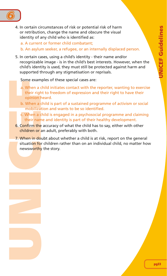

4. In certain circumstances of risk or potential risk of harm or retribution, change the name and obscure the visual identity of any child who is identified as:

a. A current or former child combatant;

- b. An asylum seeker, a refugee, or an internally displaced person.
- 5. In certain cases, using a child's identity their name and/or recognizable image - is in the child's best interests. However, when the child's identity is used, they must still be protected against harm and supported through any stigmatisation or reprisals.

Some examples of these special cases are:

- a. When a child initiates contact with the reporter, wanting to exercise their right to freedom of expression and their right to have their opinion heard.
- b. When a child is part of a sustained programme of activism or social mobilization and wants to be so identified.
- c. When a child is engaged in a psychosocial programme and claiming their name and identity is part of their healthy development.
- 6. Confirm the accuracy of what the child has to say, either with other children or an adult, preferably with both.
- a. When a cheir right opinion b. When a cheir right opinion b. When a cheir right opinion b. When a cheir name of their name of the children or a situation for newsworthy 7. When in doubt about whether a child is at risk, report on the general situation for children rather than on an individual child, no matter how newsworthy the story.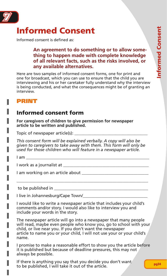

# **Informed Consent**

Informed consent is defined as:

#### **An agreement to do something or to allow something to happen made with complete knowledge of all relevant facts, such as the risks involved, or any available alternatives.**

Here are two samples of informed consent forms, one for print and one for broadcast, which you can use to ensure that the child you are interviewing and his or her caretaker fully understand why the interview is being conducted, and what the consequences might be of granting an interview.

# **PRINT**

# **Informed consent form**

**For caregivers of children to give permission for newspaper article to be written and published.**

Topic of newspaper article(s):

*This consent form will be explained verbally. A copy will also be given to caregivers to take away with them. This form will only be used for those children who will feature in a newspaper article.* 

 $I$  am  $\Box$ 

П

I work as a journalist at **Example 2018** 

I am working on an article about

to be published in

I live in Johannesburg/Cape Town/

I would like to write a newspaper article that includes your child's comments and/or story. I would also like to interview you and include your words in the story.

\_\_\_\_\_\_\_\_\_\_\_\_\_\_\_\_\_\_\_\_\_\_\_\_\_\_\_\_\_\_\_\_\_\_\_\_\_\_\_\_\_\_\_\_\_\_\_\_\_\_\_\_\_\_\_\_\_\_\_\_\_\_\_

The newspaper article will go into a newspaper that many people will read, maybe even people who know you, go to school with your child, or live near you. If you don't want the newspaper article to name you or your child, I will not use your or your child's name.

I promise to make a reasonable effort to show you the article before it is published but because of deadline pressures, this may not always be possible.

If there is anything you say that you decide you don't want to be published, I will take it out of the article.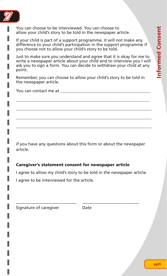

You can choose to be interviewed. You can choose to allow your child's story to be told in the newspaper article.

If your child is part of a support programme, it will not make any difference to your child's participation in the support programme if you choose not to allow your child's story to be told.

Just to make sure you understand and agree that it is okay for me to write a newspaper article about your child and to interview you I will ask you to sign a form. You can decide to withdraw your child at any point.

Remember, you can choose to allow your child's story to be told in the newspaper article.

\_\_\_\_\_\_\_\_\_\_\_\_\_\_\_\_\_\_\_\_\_\_\_\_\_\_\_\_\_\_\_\_\_\_\_\_\_\_\_\_\_\_\_\_\_\_\_\_\_\_\_\_\_\_\_\_\_\_\_\_\_\_\_\_ \_\_\_\_\_\_\_\_\_\_\_\_\_\_\_\_\_\_\_\_\_\_\_\_\_\_\_\_\_\_\_\_\_\_\_\_\_\_\_\_\_\_\_\_\_\_\_\_\_\_\_\_\_\_\_\_\_\_\_\_\_\_\_\_\_ \_\_\_\_\_\_\_\_\_\_\_\_\_\_\_\_\_\_\_\_\_\_\_\_\_\_\_\_\_\_\_\_\_\_\_\_\_\_\_\_\_\_\_\_\_\_\_\_\_\_\_\_\_\_\_\_\_\_\_\_\_\_\_\_\_ \_\_\_\_\_\_\_\_\_\_\_\_\_\_\_\_\_\_\_\_\_\_\_\_\_\_\_\_\_\_\_\_\_\_\_\_\_\_\_\_\_\_\_\_\_\_\_\_\_\_\_\_\_\_\_\_\_\_\_\_\_\_\_\_\_

You can contact me at

if you have any questions about this form or about the newspaper article.

#### **Caregiver's statement consent for newspaper article**

I agree to allow my child's story to be told in the newspaper article.

I agree to be interviewed for the article.

––––––––––––––––––––––––––––– ––––––––––––––––––––––––––– Signature of caregiver **Date**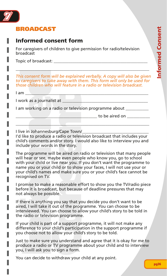

# **BROADCAST**

# **Informed consent form**

For caregivers of children to give permission for radio/television broadcast

Topic of broadcast: \_\_\_\_\_\_\_\_\_\_\_\_\_\_\_\_\_\_\_\_\_\_\_\_\_\_\_\_\_\_\_\_\_\_\_\_\_\_\_\_\_\_\_\_\_

*This consent form will be explained verbally. A copy will also be given to caregivers to take away with them. This form will only be used for those children who will feature in a radio or television broadcast.* 

\_\_\_\_\_\_\_\_\_\_\_\_\_\_\_\_\_\_\_\_\_\_\_\_\_\_\_\_\_\_\_\_\_\_\_\_\_\_\_\_\_\_\_\_\_\_\_\_\_\_\_\_\_\_\_\_\_\_\_\_\_\_\_\_

I am \_\_\_\_\_\_\_\_\_\_\_\_\_\_\_\_\_\_\_\_\_\_\_\_\_\_\_\_\_\_\_\_\_\_\_\_\_\_\_\_\_\_\_\_\_\_\_\_\_\_\_\_\_\_\_\_\_\_\_

ı

П

I work as a journalist at

I am working on a radio or television programme about \_\_\_\_\_\_\_\_\_\_

 $\Box$  to be aired on  $\Box$ 

I live in Johannesburg/Cape Town/

I'd like to produce a radio or television broadcast that includes your child's comments and/or story. I would also like to interview you and include your words in the story.

 $\overline{\phantom{a}}$  ,  $\overline{\phantom{a}}$  ,  $\overline{\phantom{a}}$  ,  $\overline{\phantom{a}}$  ,  $\overline{\phantom{a}}$  ,  $\overline{\phantom{a}}$  ,  $\overline{\phantom{a}}$  ,  $\overline{\phantom{a}}$  ,  $\overline{\phantom{a}}$  ,  $\overline{\phantom{a}}$  ,  $\overline{\phantom{a}}$  ,  $\overline{\phantom{a}}$  ,  $\overline{\phantom{a}}$  ,  $\overline{\phantom{a}}$  ,  $\overline{\phantom{a}}$  ,  $\overline{\phantom{a}}$ 

by the probability of the state of the state of the state of the state of the state of the state of the state of the state of the state of the state of the state of the state of the state of the state of the state of the s The programme will be aired on radio or television that many people will hear or see, maybe even people who know you, go to school with your child or live near you. If you don't want the programme to name you or your child or to show your faces, I will not use your or your child's names and make sure you or your child's face cannot be recognised on TV.

I promise to make a reasonable effort to show you the TV/radio piece before it is broadcast, but because of deadline pressures that may not always be possible.

If there is anything you say that you decide you don't want to be aired, I will take it out of the programme. You can choose to be interviewed. You can choose to allow your child's story to be told in the radio or television programme.

If your child is part of a support programme, it will not make any difference to your child's participation in the support programme if you choose not to allow your child's story to be told.

Just to make sure you understand and agree that it is okay for me to produce a radio or TV programme about your child and to interview you, I will ask you to sign a form.

You can decide to withdraw your child at any point.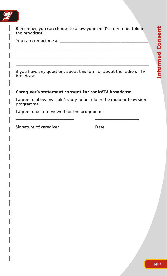

Remember, you can choose to allow your child's story to be told in the broadcast.

\_\_\_\_\_\_\_\_\_\_\_\_\_\_\_\_\_\_\_\_\_\_\_\_\_\_\_\_\_\_\_\_\_\_\_\_\_\_\_\_\_\_\_\_\_\_\_\_\_\_\_\_\_\_\_\_\_\_\_\_\_\_\_ \_\_\_\_\_\_\_\_\_\_\_\_\_\_\_\_\_\_\_\_\_\_\_\_\_\_\_\_\_\_\_\_\_\_\_\_\_\_\_\_\_\_\_\_\_\_\_\_\_\_\_\_\_\_\_\_\_\_\_\_\_\_\_\_ \_\_\_\_\_\_\_\_\_\_\_\_\_\_\_\_\_\_\_\_\_\_\_\_\_\_\_\_\_\_\_\_\_\_\_\_\_\_\_\_\_\_\_\_\_\_\_\_\_\_\_\_\_\_\_\_\_\_\_\_\_\_\_\_

You can contact me at  $\blacksquare$ 

if you have any questions about this form or about the radio or TV broadcast.

#### **Caregiver's statement consent for radio/TV broadcast**

I agree to allow my child's story to be told in the radio or television programme.

–––––––––––––––––––––––––––– –––––––––––––––––––––

I agree to be interviewed for the programme.

Signature of caregiver **Date**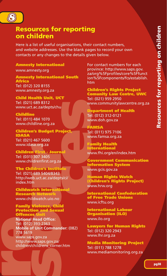

# **Resources for reporting on children**

Here is a list of useful organisations, their contact numbers, and website addresses. Use the blank pages to record your own contacts or any changes to the details given below.

**Amnesty International**

www.amnesty.org

**Amnesty International South Africa** Tel: (012) 320 8155 www.amnesty.org.za

**Child Health Unit, UCT** Tel: (021) 689 8312 www.uct.ac.za/depts/chu

**Childline** Tel: (011) 484 1070 www.childline.org.za

**Children's Budget Project, IDASA** Tel: (021) 467 5600 www.idasa.org.za

**Children First - Journal** Tel: (031) 307 3405 www.childrenfirst.org.za

**The Children's Institute**

Tel: (021) 689 5404/8343 http://web.uct.ac.za/depts/ci/ index.htm

**Childwatch International Research Network** www.childwatch.uio.no

**Family Violence, Child Protection and Sexual Offences Unit**

www.chi<br> **Family**<br> **Protect**<br> **Offence**<br>
Mational<br>
Tel: (012<br>
Mobile c<br>
778 5618<br>
www.sap<br>
http://www.sap<br>
http://www.sap<br>
children/ (according to the Medicine organization)<br> **source and the Medicine organization**<br> **source and the Medicine organization**<br> **source and the Medicine organization**<br> **source and the Medicine organization**<br> **source and the Medi National Head Office:** Tel: (012) 393-2363 **Mobile of Unit Commander:** (082) 778 5619 www.saps.gov.za http://www.saps.gov.za/ children/childrens\_corner.htm

For contact numbers for each province: http://www.saps.gov. za/org%5Fprofiles/core%5Ffunct ion%5Fcomponents/fcs/establish. htm

**Children's Rights Project Comunity Law Centre, UWC** Tel: (021) 959 2950 www.communitylawcentre.org.za

**Department of Health** Tel: (012) 312-0121 www.doh.gov.za

**FAMSA** Tel: (011) 975 7106 www.famsa.org.za

**Family Health International** www.fhi.org/en/index.htm

**Government Communication Information System** www.gcis.gov.za

**Human Rights Watch (Children's Rights Project)** www.hrw.org

**International Confederation of Free Trade Unions** www.icftu.org

**International Labour Organisation (ILO)**  www.ilo.org

**Lawyers for Human Rights** Tel: (012) 320 2943 www.lhr.org.za

**Media Monitoring Project** Tel: (011) 788 1278 www.mediamonitoring.org.za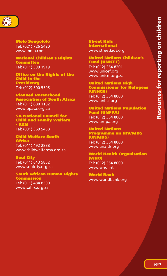

**Molo Songololo** Tel: (021) 726 5420 www.molo.com

**National Children's Rights Committee** Tel: (011) 339 1919

**Office on the Rights of the Child in the Presidency** Tel: (012) 300 5505

**Planned Parenthood Association of South Africa** Tel: (011) 880 1182 www.ppasa.org.za

**SA National Council for Child and Family Welfare - KZN** Tel: (031) 369 5458

**Child Welfare South Africa** Tel: (011) 492 2888 www.childwelfaresa.org.za

**Soul City** Tel: (011) 643 5852 www.soulcity.org.za

**South African Human Rights** 

**Commission** Tel: (011) 484 8300 www.sahrc.org.za

**Street Kids International** www.streetkids.org

**United Nations Children's Fund (UNICEF)** Tel: (012) 354 8201 www.unicef.org www.unicef.org.za

**United Nations High Commissioner for Refugees (UNHCR)** Tel: (012) 354 8000 www.unhcr.org

**United Nations Population Fund (UNFPA)** Tel: (012) 354 8000 www.unfpa.org

**United Nations Programme on HIV/AIDS (UNAIDS)** Tel: (012) 354 8000 www.unaids.org

**World Health Organisation (WHO)** Tel: (012) 354 8000 www.who.int

**World Bank** www.worldbank.org